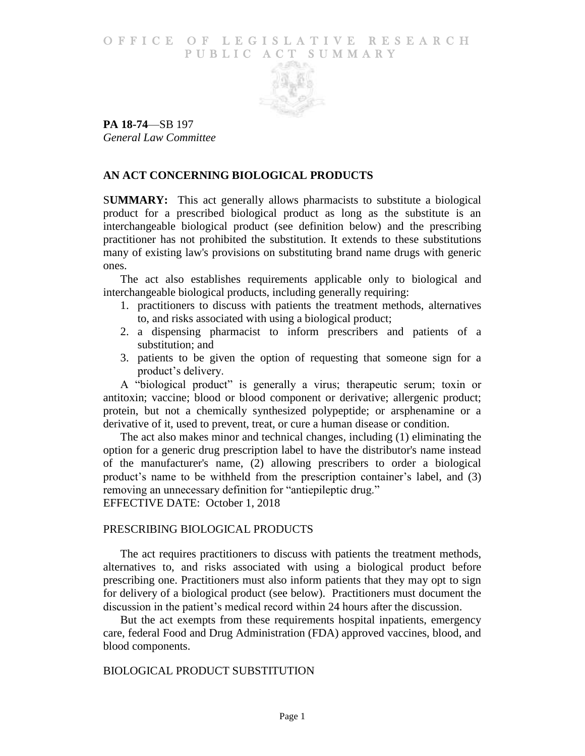## O F FICE OF LEGISLATIVE RESEARCH PUBLIC ACT SUMMARY



**PA 18-74**—SB 197 *General Law Committee*

## **AN ACT CONCERNING BIOLOGICAL PRODUCTS**

S**UMMARY:** This act generally allows pharmacists to substitute a biological product for a prescribed biological product as long as the substitute is an interchangeable biological product (see definition below) and the prescribing practitioner has not prohibited the substitution. It extends to these substitutions many of existing law's provisions on substituting brand name drugs with generic ones.

The act also establishes requirements applicable only to biological and interchangeable biological products, including generally requiring:

- 1. practitioners to discuss with patients the treatment methods, alternatives to, and risks associated with using a biological product;
- 2. a dispensing pharmacist to inform prescribers and patients of a substitution; and
- 3. patients to be given the option of requesting that someone sign for a product's delivery.

A "biological product" is generally a virus; therapeutic serum; toxin or antitoxin; vaccine; blood or blood component or derivative; allergenic product; protein, but not a chemically synthesized polypeptide; or arsphenamine or a derivative of it, used to prevent, treat, or cure a human disease or condition.

The act also makes minor and technical changes, including (1) eliminating the option for a generic drug prescription label to have the distributor's name instead of the manufacturer's name, (2) allowing prescribers to order a biological product's name to be withheld from the prescription container's label, and (3) removing an unnecessary definition for "antiepileptic drug." EFFECTIVE DATE: October 1, 2018

# PRESCRIBING BIOLOGICAL PRODUCTS

The act requires practitioners to discuss with patients the treatment methods, alternatives to, and risks associated with using a biological product before prescribing one. Practitioners must also inform patients that they may opt to sign for delivery of a biological product (see below). Practitioners must document the discussion in the patient's medical record within 24 hours after the discussion.

But the act exempts from these requirements hospital inpatients, emergency care, federal Food and Drug Administration (FDA) approved vaccines, blood, and blood components.

## BIOLOGICAL PRODUCT SUBSTITUTION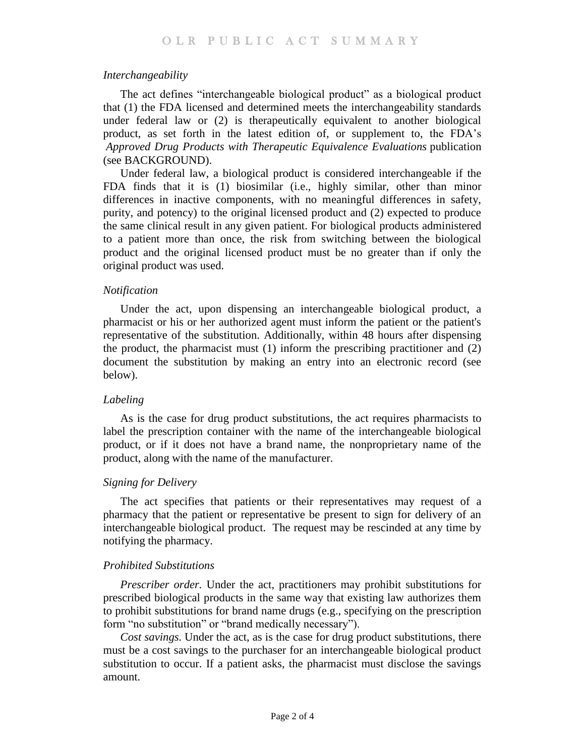## *Interchangeability*

The act defines "interchangeable biological product" as a biological product that (1) the FDA licensed and determined meets the interchangeability standards under federal law or (2) is therapeutically equivalent to another biological product, as set forth in the latest edition of, or supplement to, the FDA's *Approved Drug Products with Therapeutic Equivalence Evaluations* publication (see BACKGROUND).

Under federal law, a biological product is considered interchangeable if the FDA finds that it is (1) biosimilar (i.e., highly similar, other than minor differences in inactive components, with no meaningful differences in safety, purity, and potency) to the original licensed product and (2) expected to produce the same clinical result in any given patient. For biological products administered to a patient more than once, the risk from switching between the biological product and the original licensed product must be no greater than if only the original product was used.

## *Notification*

Under the act, upon dispensing an interchangeable biological product, a pharmacist or his or her authorized agent must inform the patient or the patient's representative of the substitution. Additionally, within 48 hours after dispensing the product, the pharmacist must (1) inform the prescribing practitioner and (2) document the substitution by making an entry into an electronic record (see below).

## *Labeling*

As is the case for drug product substitutions, the act requires pharmacists to label the prescription container with the name of the interchangeable biological product, or if it does not have a brand name, the nonproprietary name of the product, along with the name of the manufacturer.

## *Signing for Delivery*

The act specifies that patients or their representatives may request of a pharmacy that the patient or representative be present to sign for delivery of an interchangeable biological product. The request may be rescinded at any time by notifying the pharmacy.

## *Prohibited Substitutions*

*Prescriber order.* Under the act, practitioners may prohibit substitutions for prescribed biological products in the same way that existing law authorizes them to prohibit substitutions for brand name drugs (e.g., specifying on the prescription form "no substitution" or "brand medically necessary").

*Cost savings.* Under the act, as is the case for drug product substitutions, there must be a cost savings to the purchaser for an interchangeable biological product substitution to occur. If a patient asks, the pharmacist must disclose the savings amount.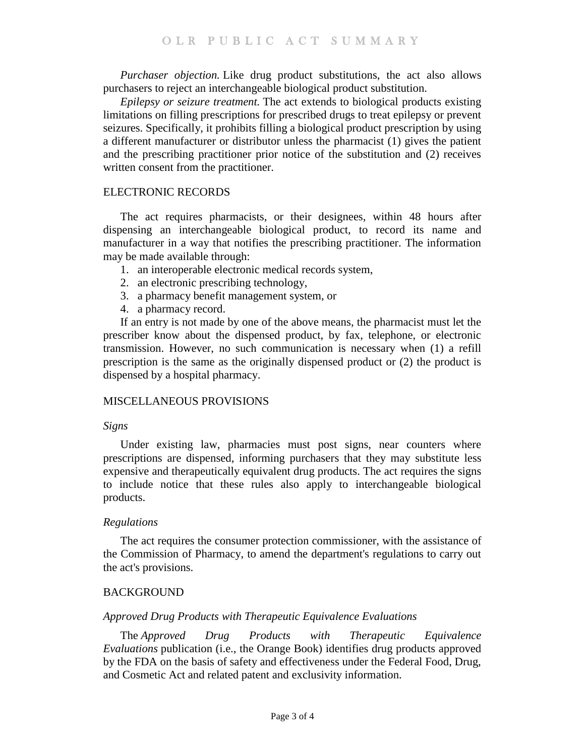*Purchaser objection.* Like drug product substitutions, the act also allows purchasers to reject an interchangeable biological product substitution.

*Epilepsy or seizure treatment.* The act extends to biological products existing limitations on filling prescriptions for prescribed drugs to treat epilepsy or prevent seizures. Specifically, it prohibits filling a biological product prescription by using a different manufacturer or distributor unless the pharmacist (1) gives the patient and the prescribing practitioner prior notice of the substitution and (2) receives written consent from the practitioner.

#### ELECTRONIC RECORDS

The act requires pharmacists, or their designees, within 48 hours after dispensing an interchangeable biological product, to record its name and manufacturer in a way that notifies the prescribing practitioner. The information may be made available through:

- 1. an interoperable electronic medical records system,
- 2. an electronic prescribing technology,
- 3. a pharmacy benefit management system, or
- 4. a pharmacy record.

If an entry is not made by one of the above means, the pharmacist must let the prescriber know about the dispensed product, by fax, telephone, or electronic transmission. However, no such communication is necessary when (1) a refill prescription is the same as the originally dispensed product or (2) the product is dispensed by a hospital pharmacy.

### MISCELLANEOUS PROVISIONS

### *Signs*

Under existing law, pharmacies must post signs, near counters where prescriptions are dispensed, informing purchasers that they may substitute less expensive and therapeutically equivalent drug products. The act requires the signs to include notice that these rules also apply to interchangeable biological products.

#### *Regulations*

The act requires the consumer protection commissioner, with the assistance of the Commission of Pharmacy, to amend the department's regulations to carry out the act's provisions.

### BACKGROUND

### *Approved Drug Products with Therapeutic Equivalence Evaluations*

The *Approved Drug Products with Therapeutic Equivalence Evaluations* publication (i.e., the Orange Book) identifies drug products approved by the FDA on the basis of safety and effectiveness under the Federal Food, Drug, and Cosmetic Act and related patent and exclusivity information.